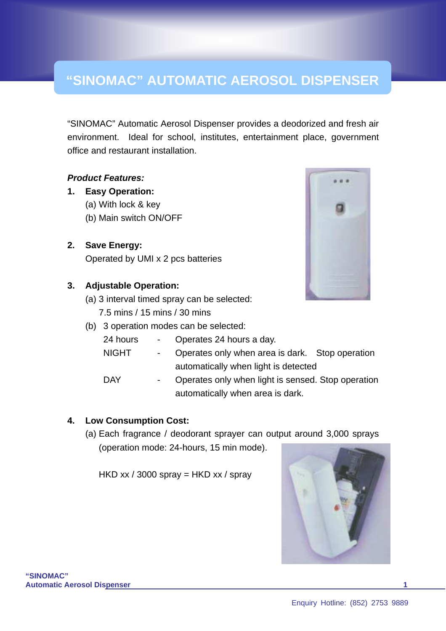# **"SINOMAC" AUTOMATIC AEROSOL DISPENSER**

"SINOMAC" Automatic Aerosol Dispenser provides a deodorized and fresh air environment. Ideal for school, institutes, entertainment place, government office and restaurant installation.

#### *Product Features:*

#### **1. Easy Operation:**

- (a) With lock & key
- (b) Main switch ON/OFF
- **2. Save Energy:** Operated by UMI x 2 pcs batteries

## **3. Adjustable Operation:**

- (a) 3 interval timed spray can be selected:
	- 7.5 mins / 15 mins / 30 mins
- (b) 3 operation modes can be selected:

| 24 hours<br>Operates 24 hours a day. |  |
|--------------------------------------|--|
|--------------------------------------|--|

- NIGHT Operates only when area is dark. Stop operation automatically when light is detected
- DAY Operates only when light is sensed. Stop operation automatically when area is dark.

## **4. Low Consumption Cost:**

(a) Each fragrance / deodorant sprayer can output around 3,000 sprays (operation mode: 24-hours, 15 min mode).

HKD xx / 3000 spray = HKD xx / spray